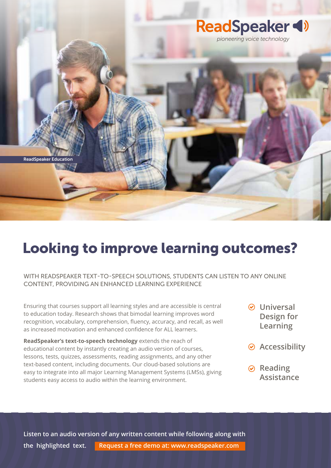

## Looking to improve learning outcomes?

### WITH READSPEAKER TEXT-TO-SPEECH SOLUTIONS, STUDENTS CAN LISTEN TO ANY ONLINE CONTENT, PROVIDING AN ENHANCED LEARNING EXPERIENCE

Ensuring that courses support all learning styles and are accessible is central to education today. Research shows that bimodal learning improves word recognition, vocabulary, comprehension, fluency, accuracy, and recall, as well as increased motivation and enhanced confidence for ALL learners.

**ReadSpeaker's text-to-speech technology** extends the reach of educational content by instantly creating an audio version of courses, lessons, tests, quizzes, assessments, reading assignments, and any other text-based content, including documents. Our cloud-based solutions are easy to integrate into all major Learning Management Systems (LMSs), giving students easy access to audio within the learning environment.

- **Universal Design for Learning**
- **Accessibility**
- **⊘** Reading **Assistance**

Listen to an audio version of any written content while following along with **Listen to an audio version of any written content while following along with** the highlighted text. Request a free demo at: www.readspeaker.com **the highlighted text. Request a free demo at: www.readspeaker.com**